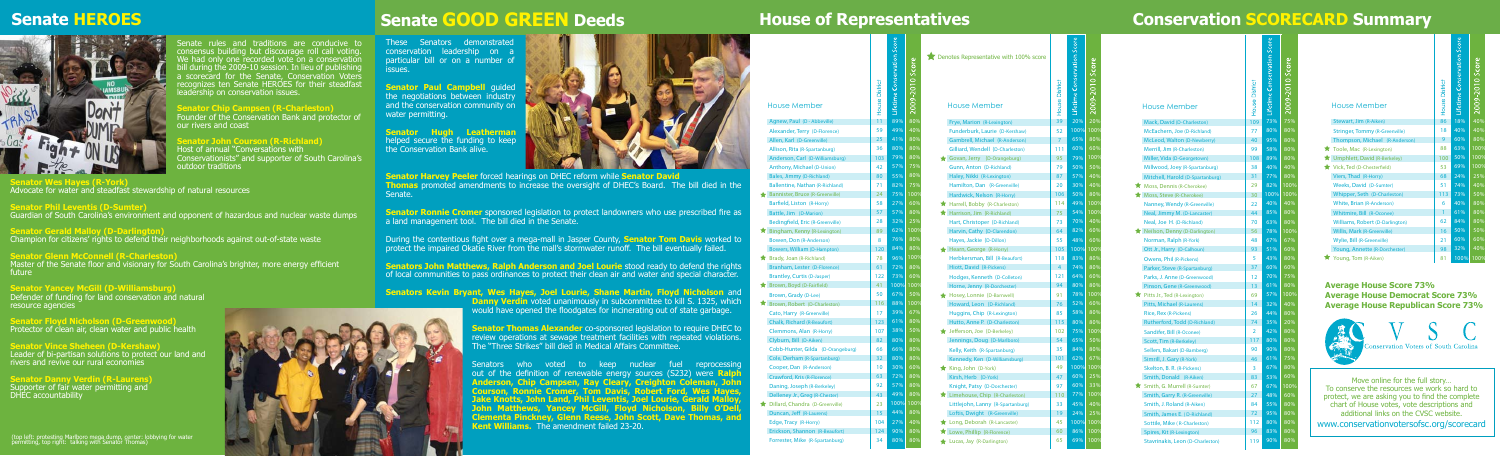| <b>House Member</b>                | House Distric | <b>Ifetime Conservation S</b> | 2009-2010 Score |
|------------------------------------|---------------|-------------------------------|-----------------|
| Agnew, Paul (D - Abbeville)        | 11            | 89%                           | 80%             |
| Alexander, Terry (D-Florence)      | 59            | 49%                           | 40%             |
| Allen, Karl (D-Greenville)         | 25            | 41%                           | 80%             |
| Allison, Rita (R-Spartanburg)      | 36            | 80%                           | 80%             |
| Anderson, Carl (D-Williamsburg)    | 103           | 79%                           | 80%             |
| Anthony, Michael (D-Union)         | 42            | 57%                           | 75%             |
| Bales, Jimmy (D-Richland)          | 80            | 55%                           | 80%             |
| Ballentine, Nathan (R-Richland)    | 71            | 82%                           | 75%             |
| Bannister, Bruce (R-Greenville)    | 24            | 75%                           | $100\%$         |
| Barfield, Liston (R-Horry)         | 58            | 27%                           | 60%             |
| Battle, Jim (D-Marion)             | 57            | 57%                           | 80%             |
| Bedingfield, Eric (R-Greenville)   | 28            | 32%                           | 25%             |
| Bingham, Kenny (R-Lexington)       | 89            | 62%                           | 100%            |
| Bowen, Don (R-Anderson)            | 8             | 76%                           | 80%             |
| <b>Bowers, William (D-Hampton)</b> | 120           | 84%                           | 80%             |
| Brady, Joan (R-Richland)           | 78            | 96%                           | 100%            |
| Branham, Lester (D-Florence)       | 61            | 72%                           | 80%             |
| <b>Brantley, Curtis (D-Jasper)</b> | 122           | 73%                           | 60%             |
| Brown, Boyd (D-Fairfield)          | 41            | 100%                          | 100%            |
| Brown, Grady (D-Lee)               | 50            | 67%                           | 50%             |
| Brown, Robert (D-Charleston)       | 116           | 88%                           | 100%            |
| Cato, Harry (R-Greenville)         | 17            | 39%                           | 67%             |
| <b>Chalk, Richard (R-Beaufort)</b> | 123           | 61%                           | 80%             |
| Clemmons, Alan (R-Horry)           | 107           | 38%                           | 50%             |
| Clyburn, Bill (D-Aiken)            | 82            | 80%                           | 80%             |
| Cobb-Hunter, Gilda (D-Orangeburg)  | 66            | 66%                           | 80%             |
| Cole, Derham (R-Spartanburg)       | 32            | 80%                           | 80%             |
| Cooper, Dan (R-Anderson)           | 10            | 30%                           | 60%             |
| Crawford, Kris (R-Florence)        | 63            | 72%                           | 80%             |
| Daning, Joseph (R-Berkeley)        | 92            | 57%                           | 80%             |
| Delleney Jr., Greg (R-Chester)     | 43            | 49%                           | 80%             |
| Dillard, Chandra (D-Greenville)    | 23            | 100%                          | 100%            |
| Duncan, Jeff (R-Laurens)           | 15            | 44%                           | 80%             |
| Edge, Tracy (R-Horry)              | 104           | 27%                           | 40%             |
| Erickson, Shannon (R-Beaufort)     | 124           | 90%                           | 80%             |
| Forrester, Mike (R-Spartanburg)    | 34            | 80%                           | 80%             |
|                                    |               |                               |                 |

**Senator Danny Verdin (R-Laurens)** Supporter of fair water permitting and DHEC accountability

| <b>House Member</b>                   | <b>House District</b> | Lifetime Conservation Score | 2009-2010 Score |
|---------------------------------------|-----------------------|-----------------------------|-----------------|
| Stewart, Jim (R-Aiken)                | 86                    | 18%                         | 40%             |
| <b>Stringer, Tommy (R-Greenville)</b> | 18                    | 40%                         | 40%             |
| Thompson, Michael (R-Anderson)        | 9                     | 60%                         | 80%             |
| Toole, Mac (R-Lexington)              | 88                    | 63%                         | 100%            |
| Umphlett, David (R-Berkeley)          | 100                   | 50%                         | 100%            |
| Vick, Ted (D-Chesterfield)            | 53                    | 69%                         | 100%            |
| Viers, Thad (R-Horry)                 | 68                    | 24%                         | 25%             |
| Weeks, David (D-Sumter)               | 51                    | 74%                         | 40%             |
| Whipper, Seth (D-Charleston)          | 113                   | 73%                         | 50%             |
| White, Brian (R-Anderson)             | 6                     | 40%                         | 80%             |
| Whitmire, Bill (R-Oconee)             | $\mathbf{1}$          | 61%                         | 80%             |
| Williams, Robert (D-Darlington)       | 62                    | 84%                         | 80%             |
| Willis, Mark (R-Greenville)           | 16                    | 50%                         | 50%             |
| Wylie, Bill (R-Greenville)            | 21                    | 60%                         | 60%             |
| Young, Annette (R-Dorchester)         | 98                    | 32%                         | 40%             |
| Young, Tom (R-Aiken)                  | 81                    | 100%                        | 100%            |

**Senator Ronnie Cromer** sponsored legislation to protect landowners who use prescribed fire as a land management tool. The bill died in the Senate.

**Senators John Matthews, Ralph Anderson and Joel Lourie** stood ready to defend the rights of local communities to pass ordinances to protect their clean air and water and special character.

> **Danny Verdin** voted unanimously in subcommittee to kill S. 1325, which would have opened the floodgates for incinerating out of state garbage.

> **Senator Thomas Alexander** co-sponsored legislation to require DHEC to review operations at sewage treatment facilities with repeated violations. The "Three Strikes" bill died in Medical Affairs Committee.

| <b>House Member</b>                     | House Distric   | lifetime Conservat | $2010$ Sco |
|-----------------------------------------|-----------------|--------------------|------------|
| Mack, David (D-Charleston)              | 109             | 73%                | 75%        |
| McEachern, Joe (D-Richland)             | 77              | 80%                | 80%        |
| McLeod, Walton (D-Newberry)             | 40              | 95%                | 80%        |
| Merrill, Jim (R-Charleston)             | 99              | 58%                | 80%        |
| Miller, Vida (D-Georgetown)             | 108             | 89%                | 80%        |
| Millwood, Joey (R-Spartanburg)          | 38              | 40%                | 40%        |
| Mitchell, Harold (D-Spartanburg)        | 31              | 77%                | 80%        |
| Moss, Dennis (R-Cherokee)               | 29              | 82%                | 100%       |
| Moss, Steve (R-Cherokee)                | 30              | 100%               | 100%       |
| Nanney, Wendy (R-Greenville)            | 22              | 40%                | 40%        |
| Neal, Jimmy M. (D-Lancaster)            | 44              | 85%                | 80%        |
| Neal, Joe H. (D-Richland)               | 70              | 63%                | 80%        |
| Neilson, Denny (D-Darlington)           | 56              | 78%                | 100%       |
| Norman, Ralph (R-York)                  | 48              | 67%                | 67%        |
| Ott Jr., Harry (D-Calhoun)              | 93              | 51%                | 60%        |
| <b>Owens, Phil (R-Pickens)</b>          | 5               | 43%                | 80%        |
| Parker, Steve (R-Spartanburg)           | 37              | 60%                | 60%        |
| Parks, J. Anne (D-Greenwood)            | 12              | 70%                | 75%        |
| Pinson, Gene (R-Greenwood)              | 13 <sup>2</sup> | 61%                | 80%        |
| Pitts Jr., Ted (R-Lexington)            | 69              | 57%                | 100%       |
| Pitts, Michael (R-Laurens)              | 14              | 32%                | 40%        |
| <b>Rice, Rex (R-Pickens)</b>            | 26              | 44%                | 80%        |
| Rutherford, Todd (D-Richland)           | 74              | 35%                | 20%        |
| Sandifer, Bill (R-Oconee)               | $\overline{2}$  | 42%                | 80%        |
| Scott, Tim (R-Berkeley)                 | 117             | 80%                | 80%        |
| Sellers, Bakari (D-Bamberg)             | 90              | 90%                | 80%        |
| Simrill, J. Gary (R-York)               | 46              | 61%                | 75%        |
| Skelton, B. R. (R-Pickens)              | 3               | 67%                | 80%        |
| Smith, Donald (R-Aiken)                 | 83              | 53%                | 60%        |
| Smith, G. Murrell (R-Sumter)            | 67              | 67%                | 100%       |
| Smith, Garry R. (R-Greenville)          | 27              | 48%                | 60%        |
| Smith, J. Roland (R-Aiken)              | 84              | 55%                | 80%        |
| Smith, James E. (D-Richland)            | 72              | 95%                | 80%        |
| Sottile, Mike (R-Charleston)            | 112             | 80%                | 80%        |
| Spires, Kit (R-Lexington)               | 96              | 83%                | 80%        |
| <b>Stavrinakis, Leon (D-Charleston)</b> | 119             | 90%                | 80%        |



| Denotes Representative with 100% score<br><b>House Member</b> | House Distric  | <b>Interime Conservation Sco</b> | 2009-2010 Score       |
|---------------------------------------------------------------|----------------|----------------------------------|-----------------------|
| Frye, Marion (R-Lexington)                                    | 39             | 20%                              | 20%                   |
| Funderburk, Laurie (D-Kershaw)                                | 52             | 100%                             | 100%                  |
| <b>Gambrell, Michael (R-Anderson)</b>                         | $\overline{7}$ | 65%                              | 80%                   |
| Gilliard, Wendell (D-Charleston)                              | 111            | 60%                              | 60%                   |
| Govan, Jerry (D-Orangeburg)                                   | 95             | 79%                              | $\frac{100\%}{100\%}$ |
| Gunn, Anton (D-Richland)                                      | 79             | 50%                              | 50%                   |
| Haley, Nikki (R-Lexington)                                    | 87             | 57%                              | 40%                   |
| Hamilton, Dan (R-Greenville)                                  | 20             | 30%                              | 40%                   |
| Hardwick, Nelson (R-Horry)                                    | 106            | 50%                              | 80%                   |
| ★ Harrell, Bobby (R-Charleston)                               | 114            | 49%                              | 100%                  |
| Harrison, Jim (R-Richland)                                    | 75             | 54%                              | 100%                  |
| Hart, Christoper (D-Richland)                                 | 73             | 70%                              | 40%                   |
| Harvin, Cathy (D-Clarendon)                                   | 64             | 82%                              | 60%                   |
| Hayes, Jackie (D-Dillon)                                      | 55             | 48%                              | 60%                   |
| Hearn, George (R-Horry)                                       | 105            | 100%                             | 100%                  |
| Herbkersman, Bill (R-Beaufort)                                | 118            | 83%                              | 80%                   |
| Hiott, David (R-Pickens)                                      | 4              | 74%                              | 80%                   |
| Hodges, Kenneth (D-Colleton)                                  | 121            | 64%                              | 60%                   |
| Horne, Jenny (R-Dorchester)                                   | 94             | 80%                              | 80%                   |
| Hosey, Lonnie (D-Barnwell)                                    | 91             | 78%                              | 100%                  |
| Howard, Leon (D-Richland)                                     | 76             | 52%                              | 60%                   |
| Huggins, Chip (R-Lexington)                                   | 85             | 58%                              | 80%                   |
| Hutto, Anne P. (D-Charleston)                                 | 115            | 80%                              | 80%                   |
| <b>*</b> Jefferson, Joe (D-Berkeley)                          | 102            | 75%                              | 100%                  |
| Jennings, Doug (D-Marlboro)                                   | 54             | 65%                              | 50%                   |
| Kelly, Keith (R-Spartanburg)                                  | 35             | 84%                              | 80%                   |
| Kennedy, Ken (D-Williamsburg)                                 | 101            | 62%                              | 67%                   |
| King, John (D-York)                                           | 49             | 100%                             | 100%                  |
| Kirsh, Herb (D-York)                                          | 47             | 60%                              | 25%                   |
| Knight, Patsy (D-Dorchester)                                  | 97             | 60%                              | 33%                   |
| Limehouse, Chip (R-Charleston)                                | 110            | 77%                              | 100%                  |
| Littlejohn, Lanny (R-Spartanburg)                             | 33             | 45%                              | 40%                   |
| Loftis, Dwight (R-Greenville)                                 | 19             | 24%                              | 25%                   |
| Long, Deborah (R-Lancaster)                                   | 45             | 100%                             | 100%                  |
| Lowe, Phillip (R-Florence)                                    | 60             | 86%                              | 100%                  |
| Lucas, Jay (R-Darlington)                                     | 65             | 69%                              | 100%                  |
|                                                               |                |                                  |                       |

<u>့ စ</u>ုပြုပြုပြ

## **House of Representatives Conservation SCORECARD Summary**

Senate rules and traditions are conducive to consensus building but discourage roll call voting. We had only one recorded vote on a conservation bill during the 2009-10 session. In lieu of publishing a scorecard for the Senate, Conservation Voters recognizes ten Senate HEROES for their steadfast leadership on conservation issues.

**Senator Chip Campsen (R-Charleston)**

Founder of the Conservation Bank and protector of our rivers and coast

**Senator John Courson (R-Richland)** Host of annual "Conversations with Conservationists" and supporter of South Carolina's outdoor traditions

**Senator Wes Hayes (R-York)** Advocate for water and steadfast stewardship of natural resources

**Senator Phil Leventis (D-Sumter)** Guardian of South Carolina's environment and opponent of hazardous and nuclear waste dumps

**Senator Gerald Malloy (D-Darlington)** Champion for citizens' rights to defend their neighborhoods against out-of-state waste

**Senator Glenn McConnell (R-Charleston)** Master of the Senate floor and visionary for South Carolina's brighter, more energy efficient future

**Senator Yancey McGill (D-Williamsburg)** Defender of funding for land conservation and natural resource agencies

**Senator Floyd Nicholson (D-Greenwood)** Protector of clean air, clean water and public health

**Senator Vince Sheheen (D-Kershaw)** Leader of bi-partisan solutions to protect our land and rivers and revive our rural economies

## **Senate HEROES**



These Senators demonstrated conservation leadership on a particular bill or on a number of issues.

**Senator Paul Campbell guided** the negotiations between industry and the conservation community on water permitting.

**Senator Hugh Leatherman** helped secure the funding to keep the Conservation Bank alive.



**Senator Harvey Peeler** forced hearings on DHEC reform while **Senator David Thomas** promoted amendments to increase the oversight of DHEC's Board. The bill died in the Senate.

During the contentious fight over a mega-mall in Jasper County, **Senator Tom Davis** worked to protect the impaired Okatie River from the mall's stormwater runoff. The bill eventually failed.

### **Senators Kevin Bryant, Wes Hayes, Joel Lourie, Shane Martin, Floyd Nicholson** and

Senators who voted to keep nuclear fuel reprocessing out of the definition of renewable energy sources (S232) were **Ralph Anderson, Chip Campsen, Ray Cleary, Creighton Coleman, John Courson, Ronnie Cromer, Tom Davis, Robert Ford, Wes Hayes, Jake Knotts, John Land, Phil Leventis, Joel Lourie, Gerald Malloy, John Matthews, Yancey McGill, Floyd Nicholson, Billy O'Dell, Clementa Pinckney, Glenn Reese, John Scott, Dave Thomas, and Kent Williams.** The amendment failed 23-20.

- 
- 
- 

## **Senate GOOD GREEN Deeds**

www.conservationvotersofsc.org/scorecard Move online for the full story… To conserve the resources we work so hard to protect, we are asking you to find the complete chart of House votes, vote descriptions and additional links on the CVSC website.

### **Average House Score 73% Average House Democrat Score 73% Average House Republican Score 73%**

(top left: protesting Marlboro mega dump, center: lobbying for water permitting, top right: talking with Senator Thomas)